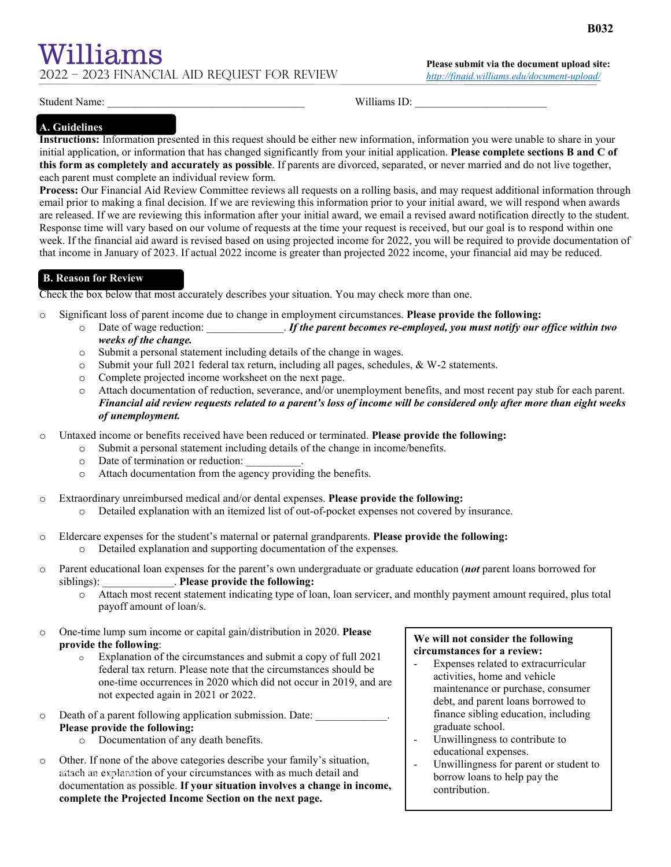Williams 2022 – 2023 financial aid request for review

**Please submit via the document upload site:**  *<http://finaid.williams.edu/document-upload/>*

Student Name: \_\_\_\_\_\_\_\_\_\_\_\_\_\_\_\_\_\_\_\_\_\_\_\_\_\_\_\_\_\_\_\_\_\_\_\_ Williams ID: \_\_\_\_\_\_\_\_\_\_\_\_\_\_\_\_\_\_\_\_\_\_\_\_

## **A. Guidelines**

**Instructions:** Information presented in this request should be either new information, information you were unable to share in your initial application, or information that has changed significantly from your initial application. **Please complete sections B and C of this form as completely and accurately as possible**. If parents are divorced, separated, or never married and do not live together, each parent must complete an individual review form.

**Process:** Our Financial Aid Review Committee reviews all requests on a rolling basis, and may request additional information through email prior to making a final decision. If we are reviewing this information prior to your initial award, we will respond when awards are released. If we are reviewing this information after your initial award, we email a revised award notification directly to the student. Response time will vary based on our volume of requests at the time your request is received, but our goal is to respond within one week. If the financial aid award is revised based on using projected income for 2022, you will be required to provide documentation of that income in January of 2023. If actual 2022 income is greater than projected 2022 income, your financial aid may be reduced.

## **B. Reason for Review**

Check the box below that most accurately describes your situation. You may check more than one.

- o Significant loss of parent income due to change in employment circumstances. **Please provide the following:**
	- o Date of wage reduction: \_\_\_\_\_\_\_\_\_\_\_\_\_\_. *If the parent becomes re-employed, you must notify our office within two weeks of the change.*
	- o Submit a personal statement including details of the change in wages.
	- o Submit your full 2021 federal tax return, including all pages, schedules, & W-2 statements.
	- o Complete projected income worksheet on the next page.
	- o Attach documentation of reduction, severance, and/or unemployment benefits, and most recent pay stub for each parent. *Financial aid review requests related to a parent's loss of income will be considered only after more than eight weeks of unemployment.*
- o Untaxed income or benefits received have been reduced or terminated. **Please provide the following:**
	- o Submit a personal statement including details of the change in income/benefits.
	- o Date of termination or reduction:
	- o Attach documentation from the agency providing the benefits.
- o Extraordinary unreimbursed medical and/or dental expenses. **Please provide the following:**
	- o Detailed explanation with an itemized list of out-of-pocket expenses not covered by insurance.
- o Eldercare expenses for the student's maternal or paternal grandparents. **Please provide the following:**
	- o Detailed explanation and supporting documentation of the expenses.
- o Parent educational loan expenses for the parent's own undergraduate or graduate education (*not* parent loans borrowed for siblings): \_\_\_\_\_\_\_\_\_\_\_\_\_. **Please provide the following:**
	- o Attach most recent statement indicating type of loan, loan servicer, and monthly payment amount required, plus total payoff amount of loan/s.
- o One-time lump sum income or capital gain/distribution in 2020. **Please provide the following**:
	- o Explanation of the circumstances and submit a copy of full 2021 federal tax return. Please note that the circumstances should be one-time occurrences in 2020 which did not occur in 2019, and are not expected again in 2021 or 2022.
- o Death of a parent following application submission. Date: **Please provide the following:**
	- o Documentation of any death benefits.
- o Other. If none of the above categories describe your family's situation, attach an explanation of your circumstances with as much detail and documentation as possible. **If your situation involves a change in income, complete the Projected Income Section on the next page.**

## **We will not consider the following circumstances for a review:**

- Expenses related to extracurricular activities, home and vehicle maintenance or purchase, consumer debt, and parent loans borrowed to finance sibling education, including graduate school.
- Unwillingness to contribute to educational expenses.
- Unwillingness for parent or student to borrow loans to help pay the contribution.